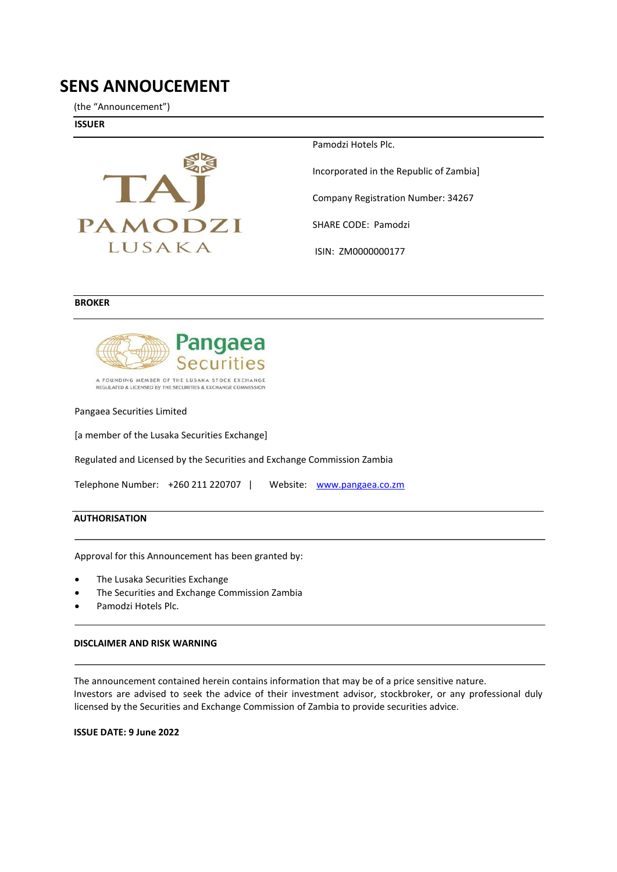# **SENS ANNOUCEMENT**

(the "Announcement")

**ISSUER** 



Pamodzi Hotels Plc.

Incorporated in the Republic of Zambia]

Company Registration Number: 34267

SHARE CODE: Pamodzi

ISIN: ZM0000000177

#### **BROKER**



A FOUNDING MEMBER OF THE LUSAKA STOCK EXCHANGE<br>REGULATED & LICENSED BY THE SECURITIES & EXCHANGE COMMISSION

Pangaea Securities Limited

[a member of the Lusaka Securities Exchange]

Regulated and Licensed by the Securities and Exchange Commission Zambia

| Telephone Number: +260 211 220707 |  |  |  | Website: www.pangaea.co.zm |
|-----------------------------------|--|--|--|----------------------------|
|-----------------------------------|--|--|--|----------------------------|

### **AUTHORISATION**

Approval for this Announcement has been granted by:

- The Lusaka Securities Exchange
- The Securities and Exchange Commission Zambia
- Pamodzi Hotels Plc.

#### **DISCLAIMER AND RISK WARNING**

The announcement contained herein contains information that may be of a price sensitive nature. Investors are advised to seek the advice of their investment advisor, stockbroker, or any professional duly licensed by the Securities and Exchange Commission of Zambia to provide securities advice.

**ISSUE DATE: 9 June 2022**